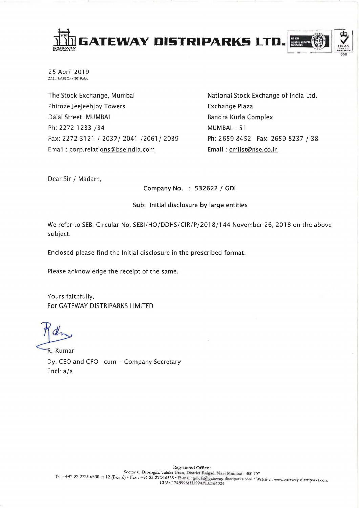

25 April 2019 Z:\St. Ex\SE Corr 2019.doc

The Stock Exchange, Mumbai Phiroze Jeejeebjoy Towers Dalal Street MUMBAI Ph: 2272 1233 /34 Fax: 2272 3121 / 2037/ 2041 /2061/ 2039 Email: corp.relations@bseindia.com

National Stock Exchange of India Ltd. Exchange Plaza Bandra Kurla Complex  $MIMRAL - 51$ Ph: 2659 8452 Fax: 2659 8237 / 38 Email: cmlist@nse.co.in

Dear Sir / Madam,

Company No. : 532622 / GDL

## Sub: Initial disclosure by large entities

We refer to SEBI Circular No. SEBI/HO/DDHS/CIR/P/2018/144 November 26, 2018 on the above subject.

Enclosed please find the Initial disclosure in the prescribed format.

Please acknowledge the receipt of the same.

Yours faithfully, For GATEWAY DISTRIPARKS LIMITED

R. Kumar Dy. CEO and CFO -cum - Company Secretary Encl:  $a/a$